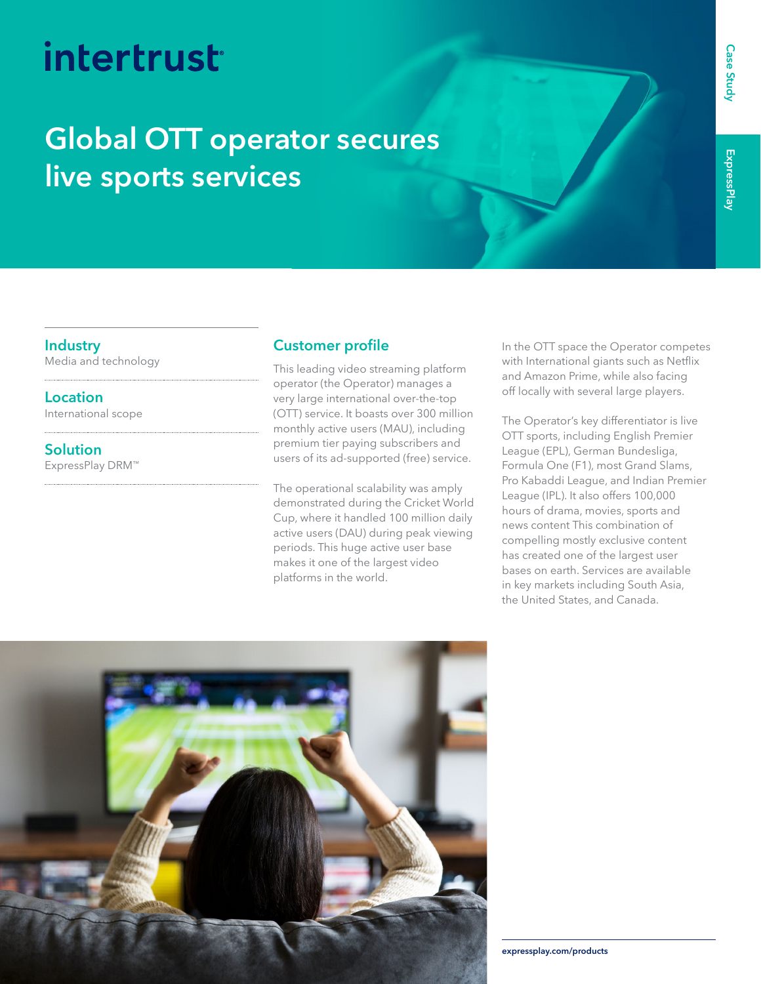# intertrust

### **Global OTT operator secures live sports services**

#### **Industry**

Media and technology

**Location** International scope

**Solution** ExpressPlay DRM™

### **Customer profile**

This leading video streaming platform operator (the Operator) manages a very large international over-the-top (OTT) service. It boasts over 300 million monthly active users (MAU), including premium tier paying subscribers and users of its ad-supported (free) service.

The operational scalability was amply demonstrated during the Cricket World Cup, where it handled 100 million daily active users (DAU) during peak viewing periods. This huge active user base makes it one of the largest video platforms in the world.

In the OTT space the Operator competes with International giants such as Netflix and Amazon Prime, while also facing off locally with several large players.

The Operator's key differentiator is live OTT sports, including English Premier League (EPL), German Bundesliga, Formula One (F1), most Grand Slams, Pro Kabaddi League, and Indian Premier League (IPL). It also offers 100,000 hours of drama, movies, sports and news content This combination of compelling mostly exclusive content has created one of the largest user bases on earth. Services are available in key markets including South Asia, the United States, and Canada.



**Case Study [expressplay.com/products](https://www.expressplay.com/products/)**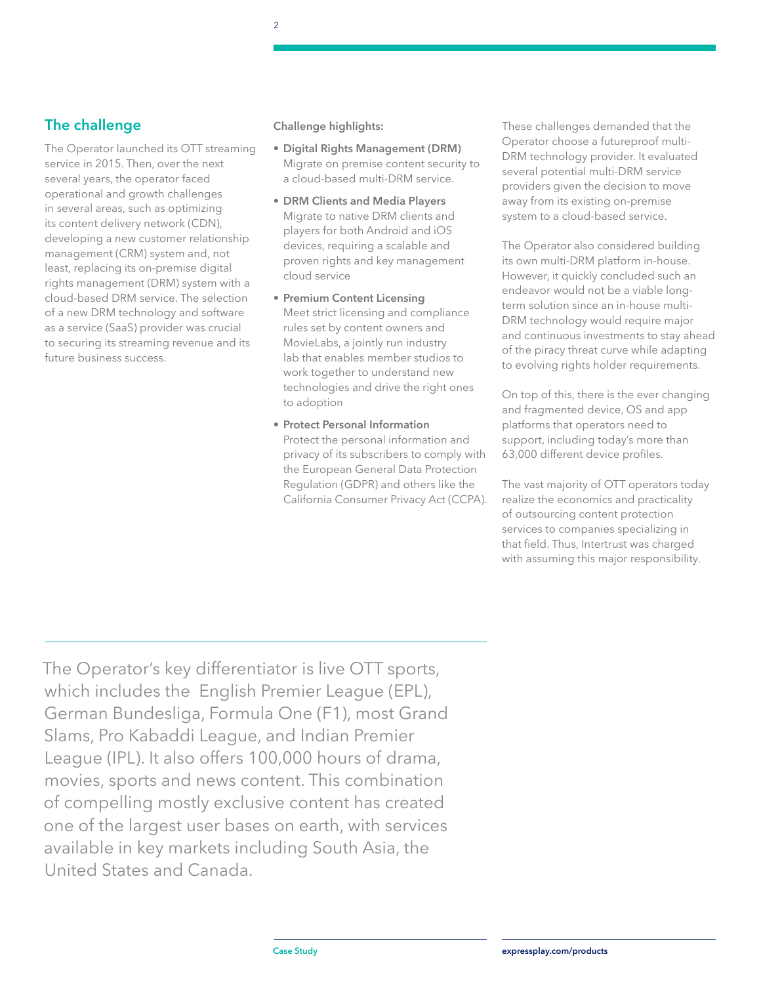#### **The challenge**

The Operator launched its OTT streaming service in 2015. Then, over the next several years, the operator faced operational and growth challenges in several areas, such as optimizing its content delivery network (CDN), developing a new customer relationship management (CRM) system and, not least, replacing its on-premise digital rights management (DRM) system with a cloud-based DRM service. The selection of a new DRM technology and software as a service (SaaS) provider was crucial to securing its streaming revenue and its future business success.

#### **Challenge highlights:**

- **Digital Rights Management (DRM)**  Migrate on premise content security to a cloud-based multi-DRM service.
- **• DRM Clients and Media Players** Migrate to native DRM clients and players for both Android and iOS devices, requiring a scalable and proven rights and key management cloud service
- **• Premium Content Licensing** Meet strict licensing and compliance rules set by content owners and MovieLabs, a jointly run industry lab that enables member studios to work together to understand new technologies and drive the right ones to adoption
- **• Protect Personal Information**  Protect the personal information and privacy of its subscribers to comply with the European General Data Protection Regulation (GDPR) and others like the California Consumer Privacy Act (CCPA).

These challenges demanded that the Operator choose a futureproof multi-DRM technology provider. It evaluated several potential multi-DRM service providers given the decision to move away from its existing on-premise system to a cloud-based service.

The Operator also considered building its own multi-DRM platform in-house. However, it quickly concluded such an endeavor would not be a viable longterm solution since an in-house multi-DRM technology would require major and continuous investments to stay ahead of the piracy threat curve while adapting to evolving rights holder requirements.

On top of this, there is the ever changing and fragmented device, OS and app platforms that operators need to support, including today's more than 63,000 different device profiles.

The vast majority of OTT operators today realize the economics and practicality of outsourcing content protection services to companies specializing in that field. Thus, Intertrust was charged with assuming this major responsibility.

The Operator's key differentiator is live OTT sports, which includes the English Premier League (EPL), German Bundesliga, Formula One (F1), most Grand Slams, Pro Kabaddi League, and Indian Premier League (IPL). It also offers 100,000 hours of drama, movies, sports and news content. This combination of compelling mostly exclusive content has created one of the largest user bases on earth, with services available in key markets including South Asia, the United States and Canada.

 $\overline{2}$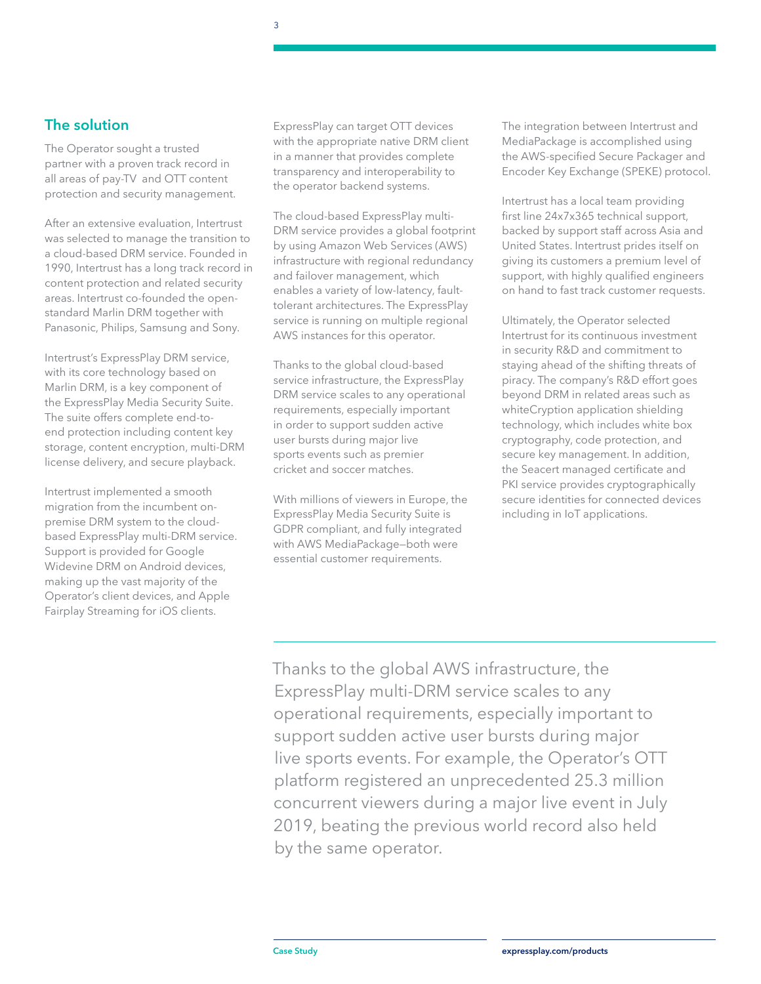#### **The solution**

The Operator sought a trusted partner with a proven track record in all areas of pay-TV and OTT content protection and security management.

After an extensive evaluation, Intertrust was selected to manage the transition to a cloud-based DRM service. Founded in 1990, Intertrust has a long track record in content protection and related security areas. Intertrust co-founded the openstandard Marlin DRM together with Panasonic, Philips, Samsung and Sony.

Intertrust's ExpressPlay DRM service, with its core technology based on Marlin DRM, is a key component of the ExpressPlay Media Security Suite. The suite offers complete end-toend protection including content key storage, content encryption, multi-DRM license delivery, and secure playback.

Intertrust implemented a smooth migration from the incumbent onpremise DRM system to the cloudbased ExpressPlay multi-DRM service. Support is provided for Google Widevine DRM on Android devices, making up the vast majority of the Operator's client devices, and Apple Fairplay Streaming for iOS clients.

ExpressPlay can target OTT devices with the appropriate native DRM client in a manner that provides complete transparency and interoperability to the operator backend systems.

The cloud-based ExpressPlay multi-DRM service provides a global footprint by using Amazon Web Services (AWS) infrastructure with regional redundancy and failover management, which enables a variety of low-latency, faulttolerant architectures. The ExpressPlay service is running on multiple regional AWS instances for this operator.

Thanks to the global cloud-based service infrastructure, the ExpressPlay DRM service scales to any operational requirements, especially important in order to support sudden active user bursts during major live sports events such as premier cricket and soccer matches.

With millions of viewers in Europe, the ExpressPlay Media Security Suite is GDPR compliant, and fully integrated with AWS MediaPackage—both were essential customer requirements.

The integration between Intertrust and MediaPackage is accomplished using the AWS-specified Secure Packager and Encoder Key Exchange (SPEKE) protocol.

Intertrust has a local team providing first line 24x7x365 technical support, backed by support staff across Asia and United States. Intertrust prides itself on giving its customers a premium level of support, with highly qualified engineers on hand to fast track customer requests.

Ultimately, the Operator selected Intertrust for its continuous investment in security R&D and commitment to staying ahead of the shifting threats of piracy. The company's R&D effort goes beyond DRM in related areas such as whiteCryption application shielding technology, which includes white box cryptography, code protection, and secure key management. In addition, the Seacert managed certificate and PKI service provides cryptographically secure identities for connected devices including in IoT applications.

Thanks to the global AWS infrastructure, the ExpressPlay multi-DRM service scales to any operational requirements, especially important to support sudden active user bursts during major live sports events. For example, the Operator's OTT platform registered an unprecedented 25.3 million concurrent viewers during a major live event in July 2019, beating the previous world record also held by the same operator.